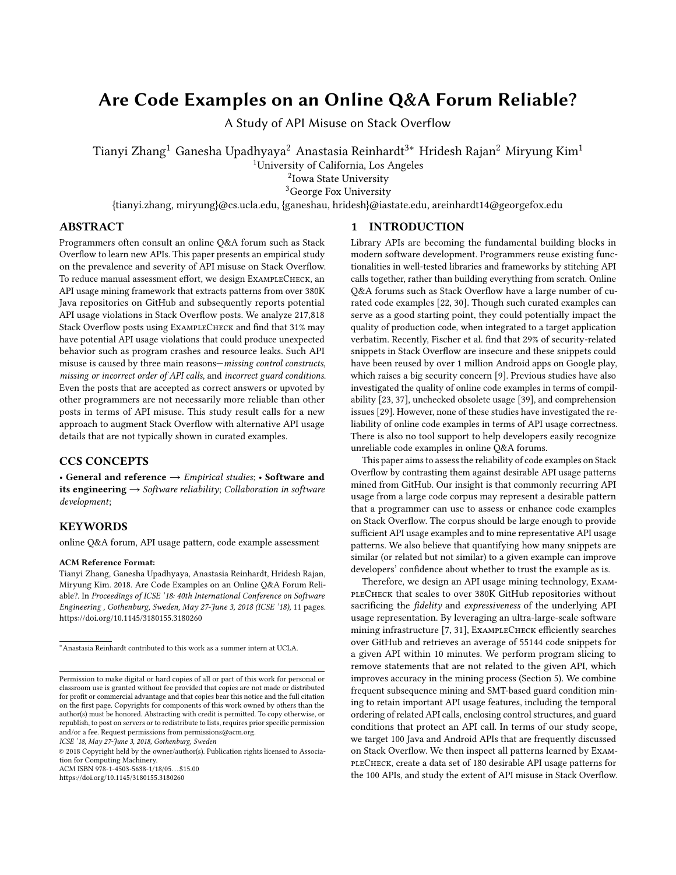# <span id="page-0-0"></span>Are Code Examples on an Online Q&A Forum Reliable?

A Study of API Misuse on Stack Overflow

Tianyi Zhang<sup>1</sup> Ganesha Upadhyaya<sup>2</sup> Anastasia Reinhardt<sup>3</sup><sup>∗</sup> Hridesh Rajan<sup>2</sup> Miryung Kim<sup>1</sup>

<sup>1</sup>University of California, Los Angeles

2 Iowa State University

 ${\rm^3 George}$  Fox University

{tianyi.zhang, miryung}@cs.ucla.edu, {ganeshau, hridesh}@iastate.edu, areinhardt14@georgefox.edu

#### ABSTRACT

Programmers often consult an online Q&A forum such as Stack Overflow to learn new APIs. This paper presents an empirical study on the prevalence and severity of API misuse on Stack Overflow. To reduce manual assessment effort, we design ExampleCheck, an API usage mining framework that extracts patterns from over 380K Java repositories on GitHub and subsequently reports potential API usage violations in Stack Overflow posts. We analyze 217,818 Stack Overflow posts using ExAMPLECHECK and find that 31% may have potential API usage violations that could produce unexpected behavior such as program crashes and resource leaks. Such API misuse is caused by three main reasons—missing control constructs, missing or incorrect order of API calls, and incorrect guard conditions. Even the posts that are accepted as correct answers or upvoted by other programmers are not necessarily more reliable than other posts in terms of API misuse. This study result calls for a new approach to augment Stack Overflow with alternative API usage details that are not typically shown in curated examples.

# CCS CONCEPTS

• General and reference  $\rightarrow$  *Empirical studies*; • Software and its engineering  $\rightarrow$  Software reliability; Collaboration in software development;

### **KEYWORDS**

online Q&A forum, API usage pattern, code example assessment

#### ACM Reference Format:

Tianyi Zhang, Ganesha Upadhyaya, Anastasia Reinhardt, Hridesh Rajan, Miryung Kim. 2018. Are Code Examples on an Online Q&A Forum Reliable?. In Proceedings of ICSE '18: 40th International Conference on Software Engineering , Gothenburg, Sweden, May 27-June 3, 2018 (ICSE '18), [11](#page-10-0) pages. <https://doi.org/10.1145/3180155.3180260>

ICSE '18, May 27-June 3, 2018, Gothenburg, Sweden

© 2018 Copyright held by the owner/author(s). Publication rights licensed to Association for Computing Machinery.

ACM ISBN 978-1-4503-5638-1/18/05. . . \$15.00 <https://doi.org/10.1145/3180155.3180260>

1 INTRODUCTION

Library APIs are becoming the fundamental building blocks in modern software development. Programmers reuse existing functionalities in well-tested libraries and frameworks by stitching API calls together, rather than building everything from scratch. Online Q&A forums such as Stack Overflow have a large number of curated code examples [\[22,](#page-10-1) [30\]](#page-10-2). Though such curated examples can serve as a good starting point, they could potentially impact the quality of production code, when integrated to a target application verbatim. Recently, Fischer et al. find that 29% of security-related snippets in Stack Overflow are insecure and these snippets could have been reused by over 1 million Android apps on Google play, which raises a big security concern [\[9\]](#page-10-3). Previous studies have also investigated the quality of online code examples in terms of compilability [\[23,](#page-10-4) [37\]](#page-10-5), unchecked obsolete usage [\[39\]](#page-10-6), and comprehension issues [\[29\]](#page-10-7). However, none of these studies have investigated the reliability of online code examples in terms of API usage correctness. There is also no tool support to help developers easily recognize unreliable code examples in online Q&A forums.

This paper aims to assess the reliability of code examples on Stack Overflow by contrasting them against desirable API usage patterns mined from GitHub. Our insight is that commonly recurring API usage from a large code corpus may represent a desirable pattern that a programmer can use to assess or enhance code examples on Stack Overflow. The corpus should be large enough to provide sufficient API usage examples and to mine representative API usage patterns. We also believe that quantifying how many snippets are similar (or related but not similar) to a given example can improve developers' confidence about whether to trust the example as is.

Therefore, we design an API usage mining technology, ExampleCheck that scales to over 380K GitHub repositories without sacrificing the fidelity and expressiveness of the underlying API usage representation. By leveraging an ultra-large-scale software mining infrastructure [\[7,](#page-10-8) [31\]](#page-10-9), EXAMPLECHECK efficiently searches over GitHub and retrieves an average of 55144 code snippets for a given API within 10 minutes. We perform program slicing to remove statements that are not related to the given API, which improves accuracy in the mining process (Section [5\)](#page-8-0). We combine frequent subsequence mining and SMT-based guard condition mining to retain important API usage features, including the temporal ordering of related API calls, enclosing control structures, and guard conditions that protect an API call. In terms of our study scope, we target 100 Java and Android APIs that are frequently discussed on Stack Overflow. We then inspect all patterns learned by ExampleCheck, create a data set of 180 desirable API usage patterns for the 100 APIs, and study the extent of API misuse in Stack Overflow.

<sup>∗</sup>Anastasia Reinhardt contributed to this work as a summer intern at UCLA.

Permission to make digital or hard copies of all or part of this work for personal or classroom use is granted without fee provided that copies are not made or distributed for profit or commercial advantage and that copies bear this notice and the full citation on the first page. Copyrights for components of this work owned by others than the author(s) must be honored. Abstracting with credit is permitted. To copy otherwise, or republish, to post on servers or to redistribute to lists, requires prior specific permission and/or a fee. Request permissions from permissions@acm.org.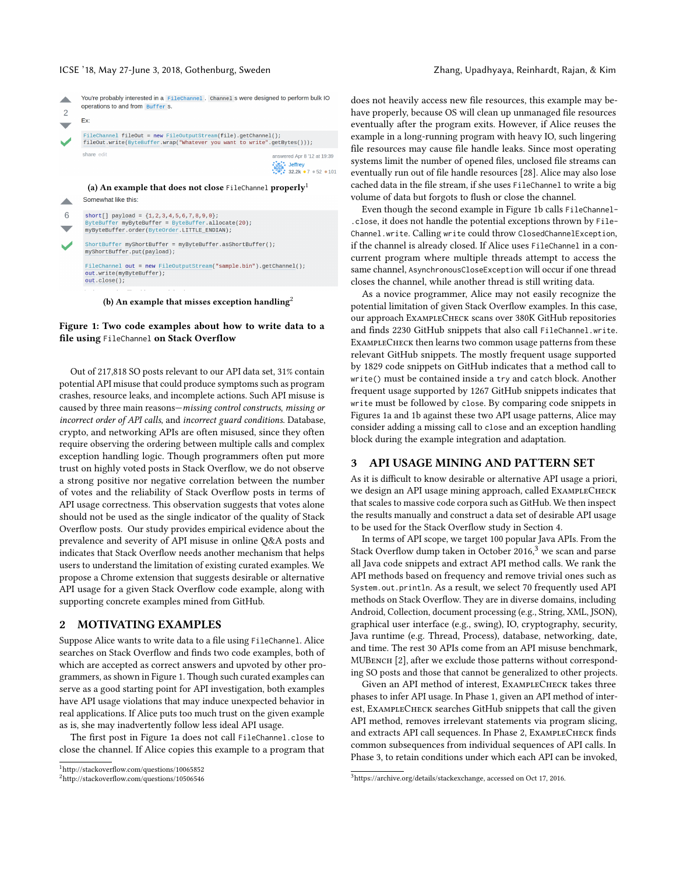#### ICSE '18, May 27-June 3, 2018, Gothenburg, Sweden Zhang, Zhang, Upadhyaya, Reinhardt, Rajan, & Kim

<span id="page-1-0"></span>

| $\overline{2}$ | You're probably interested in a FileChannel. Channel s were designed to perform bulk IO<br>operations to and from Buffer S.                  |                                                                                                                                                                                                                                                                                                                              |
|----------------|----------------------------------------------------------------------------------------------------------------------------------------------|------------------------------------------------------------------------------------------------------------------------------------------------------------------------------------------------------------------------------------------------------------------------------------------------------------------------------|
|                | Ex:                                                                                                                                          |                                                                                                                                                                                                                                                                                                                              |
|                | $FileChannel$ fileOut = new FileOutputStream(file).getChannel();<br>fileOut.write(ByteBuffer.wrap("Whatever you want to write".getBytes())); |                                                                                                                                                                                                                                                                                                                              |
|                | share edit                                                                                                                                   | answered Apr 8 '12 at 19:39<br>$\frac{1}{2}$ and $\frac{1}{2}$ and $\frac{1}{2}$ and $\frac{1}{2}$ and $\frac{1}{2}$ and $\frac{1}{2}$ and $\frac{1}{2}$ and $\frac{1}{2}$ and $\frac{1}{2}$ and $\frac{1}{2}$ and $\frac{1}{2}$ and $\frac{1}{2}$ and $\frac{1}{2}$ and $\frac{1}{2}$ and $\frac{1}{2}$ and $\frac{1}{2}$ a |

(a) An example that does not close FileChannel properly<sup>[1](#page-0-0)</sup>

|     | <b>SUITEWHAL TIKE LITS.</b>                                                                                                                                |
|-----|------------------------------------------------------------------------------------------------------------------------------------------------------------|
| - 6 | short[] payload = ${1, 2, 3, 4, 5, 6, 7, 8, 9, 0}$ ;<br>ByteBuffer myByteBuffer = ByteBuffer.allocate(20);<br>myByteBuffer.order(ByteOrder.LITTLE ENDIAN); |
|     | ShortBuffer myShortBuffer = myByteBuffer.asShortBuffer();<br>myShortBuffer.put(payload);                                                                   |
|     | FileChannel out = new FileOutputStream("sample.bin").getChannel();<br>out.write(myByteBuffer);<br>out.close();                                             |

(b) An example that misses exception handling<sup>[2](#page-0-0)</sup>

#### Figure 1: Two code examples about how to write data to a file using FileChannel on Stack Overflow

Out of 217,818 SO posts relevant to our API data set, 31% contain potential API misuse that could produce symptoms such as program crashes, resource leaks, and incomplete actions. Such API misuse is caused by three main reasons—missing control constructs, missing or incorrect order of API calls, and incorrect guard conditions. Database, crypto, and networking APIs are often misused, since they often require observing the ordering between multiple calls and complex exception handling logic. Though programmers often put more trust on highly voted posts in Stack Overflow, we do not observe a strong positive nor negative correlation between the number of votes and the reliability of Stack Overflow posts in terms of API usage correctness. This observation suggests that votes alone should not be used as the single indicator of the quality of Stack Overflow posts. Our study provides empirical evidence about the prevalence and severity of API misuse in online Q&A posts and indicates that Stack Overflow needs another mechanism that helps users to understand the limitation of existing curated examples. We propose a Chrome extension that suggests desirable or alternative API usage for a given Stack Overflow code example, along with supporting concrete examples mined from GitHub.

# 2 MOTIVATING EXAMPLES

Suppose Alice wants to write data to a file using FileChannel. Alice searches on Stack Overflow and finds two code examples, both of which are accepted as correct answers and upvoted by other programmers, as shown in Figure [1.](#page-1-0) Though such curated examples can serve as a good starting point for API investigation, both examples have API usage violations that may induce unexpected behavior in real applications. If Alice puts too much trust on the given example as is, she may inadvertently follow less ideal API usage.

The first post in Figure [1a](#page-1-0) does not call FileChannel.close to close the channel. If Alice copies this example to a program that

does not heavily access new file resources, this example may behave properly, because OS will clean up unmanaged file resources eventually after the program exits. However, if Alice reuses the example in a long-running program with heavy IO, such lingering file resources may cause file handle leaks. Since most operating systems limit the number of opened files, unclosed file streams can eventually run out of file handle resources [\[28\]](#page-10-10). Alice may also lose cached data in the file stream, if she uses FileChannel to write a big volume of data but forgots to flush or close the channel.

Even though the second example in Figure [1b](#page-1-0) calls FileChannel- .close, it does not handle the potential exceptions thrown by File-Channel.write. Calling write could throw ClosedChannelException, if the channel is already closed. If Alice uses FileChannel in a concurrent program where multiple threads attempt to access the same channel, AsynchronousCloseException will occur if one thread closes the channel, while another thread is still writing data.

As a novice programmer, Alice may not easily recognize the potential limitation of given Stack Overflow examples. In this case, our approach ExampleCheck scans over 380K GitHub repositories and finds 2230 GitHub snippets that also call FileChannel.write. ExampleCheck then learns two common usage patterns from these relevant GitHub snippets. The mostly frequent usage supported by 1829 code snippets on GitHub indicates that a method call to write() must be contained inside a try and catch block. Another frequent usage supported by 1267 GitHub snippets indicates that write must be followed by close. By comparing code snippets in Figures [1a](#page-1-0) and [1b](#page-1-0) against these two API usage patterns, Alice may consider adding a missing call to close and an exception handling block during the example integration and adaptation.

# <span id="page-1-2"></span>3 API USAGE MINING AND PATTERN SET

As it is difficult to know desirable or alternative API usage a priori, we design an API usage mining approach, called ExAMPLECHECK that scales to massive code corpora such as GitHub. We then inspect the results manually and construct a data set of desirable API usage to be used for the Stack Overflow study in Section [4.](#page-4-0)

In terms of API scope, we target 100 popular Java APIs. From the Stack Overflow dump taken in October 2016, $3$  we scan and parse all Java code snippets and extract API method calls. We rank the API methods based on frequency and remove trivial ones such as System.out.println. As a result, we select 70 frequently used API methods on Stack Overflow. They are in diverse domains, including Android, Collection, document processing (e.g., String, XML, JSON), graphical user interface (e.g., swing), IO, cryptography, security, Java runtime (e.g. Thread, Process), database, networking, date, and time. The rest 30 APIs come from an API misuse benchmark, MUBench [\[2\]](#page-10-11), after we exclude those patterns without corresponding SO posts and those that cannot be generalized to other projects.

Given an API method of interest, ExampleCheck takes three phases to infer API usage. In Phase 1, given an API method of interest, ExampleCheck searches GitHub snippets that call the given API method, removes irrelevant statements via program slicing, and extracts API call sequences. In Phase 2, ExampleCheck finds common subsequences from individual sequences of API calls. In Phase 3, to retain conditions under which each API can be invoked,

<sup>1</sup><http://stackoverflow.com/questions/10065852>

<sup>2</sup><http://stackoverflow.com/questions/10506546>

<span id="page-1-1"></span><sup>3</sup>[https://archive.org/details/stackexchange,](https://archive.org/details/stackexchange) accessed on Oct 17, 2016.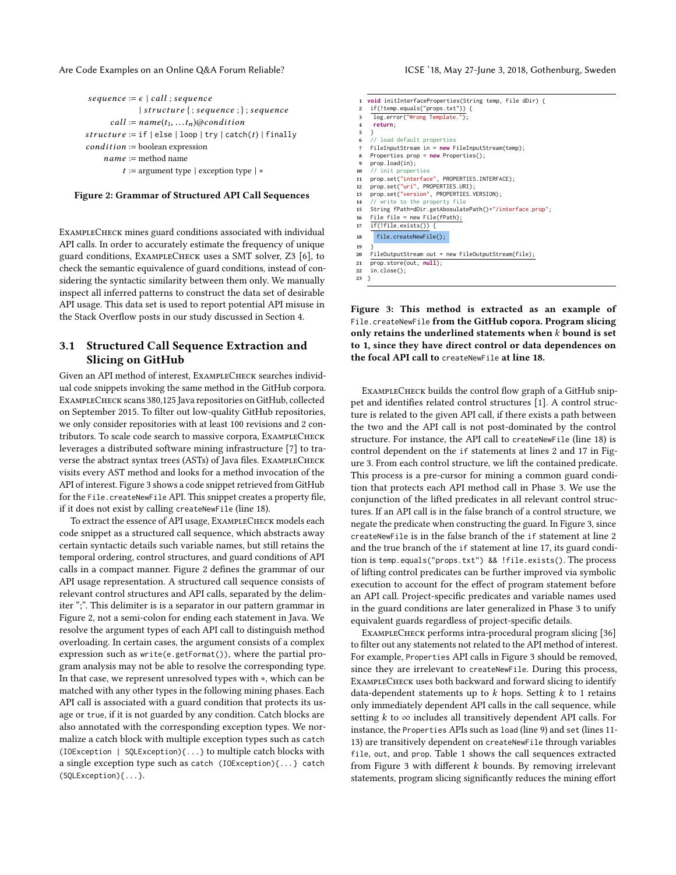```
sequence := \epsilon | call ; sequence| structure { ; sequence ; } ; sequence
      call := name(t_1, ... t_n)@condition
structure := if | else | loop | try | catch(t) | finallycondition := boolean expression
    name := method namet := argument type | exception type | *
```
#### Figure 2: Grammar of Structured API Call Sequences

ExampleCheck mines guard conditions associated with individual API calls. In order to accurately estimate the frequency of unique guard conditions, ExampleCheck uses a SMT solver, Z3 [\[6\]](#page-10-12), to check the semantic equivalence of guard conditions, instead of considering the syntactic similarity between them only. We manually inspect all inferred patterns to construct the data set of desirable API usage. This data set is used to report potential API misuse in the Stack Overflow posts in our study discussed in Section [4.](#page-4-0)

# 3.1 Structured Call Sequence Extraction and Slicing on GitHub

Given an API method of interest, ExampleCheck searches individual code snippets invoking the same method in the GitHub corpora. ExampleCheck scans 380,125 Java repositories on GitHub, collected on September 2015. To filter out low-quality GitHub repositories, we only consider repositories with at least 100 revisions and 2 contributors. To scale code search to massive corpora, ExampleCheck leverages a distributed software mining infrastructure [\[7\]](#page-10-8) to traverse the abstract syntax trees (ASTs) of Java files. ExampleCheck visits every AST method and looks for a method invocation of the API of interest. Figure [3](#page-2-0) shows a code snippet retrieved from GitHub for the File.createNewFile API. This snippet creates a property file, if it does not exist by calling createNewFile (line 18).

To extract the essence of API usage, ExampleCheck models each code snippet as a structured call sequence, which abstracts away certain syntactic details such variable names, but still retains the temporal ordering, control structures, and guard conditions of API calls in a compact manner. Figure [2](#page-2-1) defines the grammar of our API usage representation. A structured call sequence consists of relevant control structures and API calls, separated by the delimiter ";". This delimiter is is a separator in our pattern grammar in Figure [2,](#page-2-1) not a semi-colon for ending each statement in Java. We resolve the argument types of each API call to distinguish method overloading. In certain cases, the argument consists of a complex expression such as write(e.getFormat()), where the partial program analysis may not be able to resolve the corresponding type. In that case, we represent unresolved types with ∗, which can be matched with any other types in the following mining phases. Each API call is associated with a guard condition that protects its usage or true, if it is not guarded by any condition. Catch blocks are also annotated with the corresponding exception types. We normalize a catch block with multiple exception types such as catch (IOException | SQLException){...} to multiple catch blocks with a single exception type such as catch (IOException){...} catch (SQLException){...}.

<span id="page-2-0"></span>

|                  | 1 void initInterfaceProperties(String temp, File dDir) { |
|------------------|----------------------------------------------------------|
|                  |                                                          |
| $\boldsymbol{2}$ | $if(!temp.equals("props.txt")) {$                        |
| 3                | log.error("Wrong Template.");                            |
| 4                | return;                                                  |
| 5                | 7                                                        |
| 6                | // load default properties                               |
| 7                | $FileInputStream in = new FileInputStream(temp);$        |
| 8                | Properties $prop = new Properties()$ ;                   |
| 9                | prop.load(in);                                           |
| 10               | // init properties                                       |
| 11               | prop.set("interface", PROPERTIES.INTERFACE);             |
| 12               | prop.set("uri", PROPERTIES.URI);                         |
| 13               | prop.set("version", PROPERTIES.VERSION);                 |
| 14               | // write to the property file                            |
| 15               | String fPath=dDir.getAbosulatePath()+"/interface.prop";  |
| 16               | File file = new File(fPath);                             |
| 17               | $if(!file.exists())$ {                                   |
| 18               | file.createNewFile();                                    |
| 19               | ٦                                                        |
|                  |                                                          |
| 20               | FileOutputStream out = new FileOutputStream(file);       |
| 21               | prop.store(out, null);                                   |
| 22               | in.close();                                              |
| 23               | }                                                        |

Figure 3: This method is extracted as an example of File.createNewFile from the GitHub copora. Program slicing only retains the underlined statements when  $k$  bound is set to 1, since they have direct control or data dependences on the focal API call to createNewFile at line 18.

ExampleCheck builds the control flow graph of a GitHub snippet and identifies related control structures [\[1\]](#page-10-13). A control structure is related to the given API call, if there exists a path between the two and the API call is not post-dominated by the control structure. For instance, the API call to createNewFile (line 18) is control dependent on the if statements at lines 2 and 17 in Figure [3.](#page-2-0) From each control structure, we lift the contained predicate. This process is a pre-cursor for mining a common guard condition that protects each API method call in Phase 3. We use the conjunction of the lifted predicates in all relevant control structures. If an API call is in the false branch of a control structure, we negate the predicate when constructing the guard. In Figure [3,](#page-2-0) since createNewFile is in the false branch of the if statement at line 2 and the true branch of the if statement at line 17, its guard condition is temp.equals("props.txt") && !file.exists(). The process of lifting control predicates can be further improved via symbolic execution to account for the effect of program statement before an API call. Project-specific predicates and variable names used in the guard conditions are later generalized in Phase 3 to unify equivalent guards regardless of project-specific details.

ExampleCheck performs intra-procedural program slicing [\[36\]](#page-10-14) to filter out any statements not related to the API method of interest. For example, Properties API calls in Figure [3](#page-2-0) should be removed, since they are irrelevant to createNewFile. During this process, ExampleCheck uses both backward and forward slicing to identify data-dependent statements up to  $k$  hops. Setting  $k$  to 1 retains only immediately dependent API calls in the call sequence, while setting  $k$  to  $\infty$  includes all transitively dependent API calls. For instance, the Properties APIs such as load (line 9) and set (lines 11- 13) are transitively dependent on createNewFile through variables file, out, and prop. Table [1](#page-3-0) shows the call sequences extracted from Figure [3](#page-2-0) with different  $k$  bounds. By removing irrelevant statements, program slicing significantly reduces the mining effort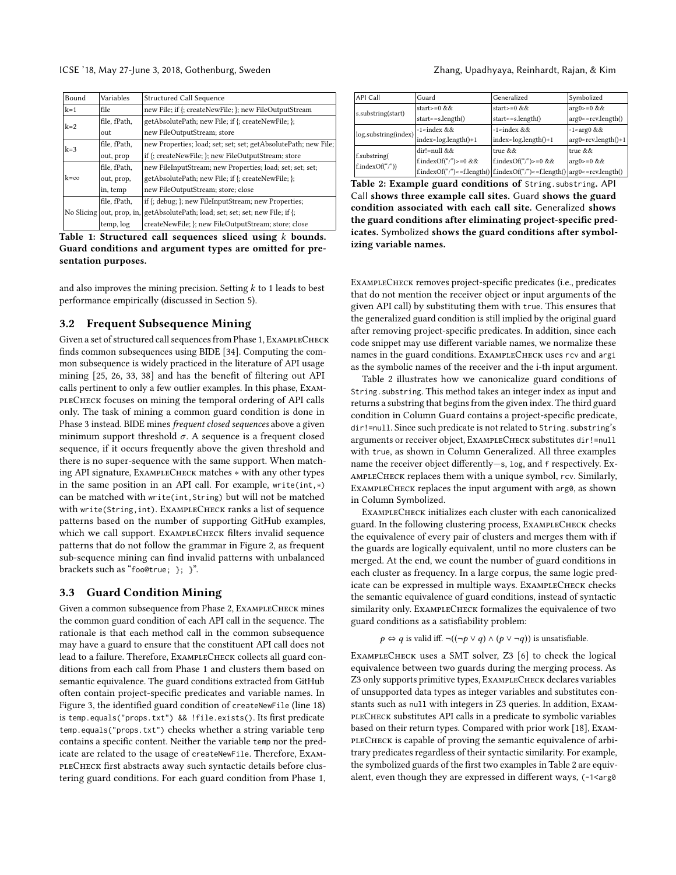<span id="page-3-0"></span>

| Bound        | Variables                 | <b>Structured Call Sequence</b>                                 |  |
|--------------|---------------------------|-----------------------------------------------------------------|--|
| $k=1$        | file                      | new File; if {; createNewFile; }; new FileOutputStream          |  |
| $k=2$        | file, fPath,              | getAbsolutePath; new File; if {; createNewFile; };              |  |
|              | out                       | new FileOutputStream; store                                     |  |
| $k=3$        | file, fPath,              | new Properties; load; set; set; set; getAbsolutePath; new File; |  |
|              | out, prop                 | if {; createNewFile; }; new FileOutputStream; store             |  |
|              | file, fPath,              | new FileInputStream; new Properties; load; set; set; set;       |  |
| $k = \infty$ | out, prop,                | getAbsolutePath; new File; if {; createNewFile; };              |  |
|              | in, temp                  | new FileOutputStream; store; close                              |  |
|              | file, fPath,              | if {; debug; }; new FileInputStream; new Properties;            |  |
|              | No Slicing out, prop, in, | getAbsolutePath; load; set; set; set; new File; if {;           |  |
|              | temp, log                 | createNewFile; }; new FileOutputStream; store; close            |  |

Table 1: Structured call sequences sliced using  $k$  bounds. Guard conditions and argument types are omitted for presentation purposes.

and also improves the mining precision. Setting  $k$  to 1 leads to best performance empirically (discussed in Section [5\)](#page-8-0).

#### 3.2 Frequent Subsequence Mining

Given a set of structured call sequences from Phase 1, EXAMPLECHECK finds common subsequences using BIDE [\[34\]](#page-10-15). Computing the common subsequence is widely practiced in the literature of API usage mining [\[25,](#page-10-16) [26,](#page-10-17) [33,](#page-10-18) [38\]](#page-10-19) and has the benefit of filtering out API calls pertinent to only a few outlier examples. In this phase, Exam-PLECHECK focuses on mining the temporal ordering of API calls only. The task of mining a common guard condition is done in Phase 3 instead. BIDE mines frequent closed sequences above a given minimum support threshold  $\sigma$ . A sequence is a frequent closed sequence, if it occurs frequently above the given threshold and there is no super-sequence with the same support. When matching API signature, ExampleCheck matches ∗ with any other types in the same position in an API call. For example, write(int,∗) can be matched with write(int,String) but will not be matched with write(String,int). ExampleCheck ranks a list of sequence patterns based on the number of supporting GitHub examples, which we call support. EXAMPLECHECK filters invalid sequence patterns that do not follow the grammar in Figure [2,](#page-2-1) as frequent sub-sequence mining can find invalid patterns with unbalanced brackets such as "foo@true; }; }".

#### 3.3 Guard Condition Mining

Given a common subsequence from Phase 2, EXAMPLECHECK mines the common guard condition of each API call in the sequence. The rationale is that each method call in the common subsequence may have a guard to ensure that the constituent API call does not lead to a failure. Therefore, EXAMPLECHECK collects all guard conditions from each call from Phase 1 and clusters them based on semantic equivalence. The guard conditions extracted from GitHub often contain project-specific predicates and variable names. In Figure [3,](#page-2-0) the identified guard condition of createNewFile (line 18) is temp.equals("props.txt") && !file.exists(). Its first predicate temp.equals("props.txt") checks whether a string variable temp contains a specific content. Neither the variable temp nor the predicate are related to the usage of createNewFile. Therefore, ExampleCheck first abstracts away such syntactic details before clustering guard conditions. For each guard condition from Phase 1,

<span id="page-3-1"></span>

| API Call                      | Guard                                                                                                                                                  | Generalized                                                                                       | Symbolized                                      |
|-------------------------------|--------------------------------------------------------------------------------------------------------------------------------------------------------|---------------------------------------------------------------------------------------------------|-------------------------------------------------|
| s.substring(start)            | start $>=0$ & &                                                                                                                                        | start $>=0 & 8 & 8$                                                                               | $arg0>=0$ & &                                   |
|                               | $start < = s.length()$                                                                                                                                 | $start < = s.length()$                                                                            | $arg0 < = rcv.length()$                         |
| log.substring(index)          | $-1$ <index &&<="" td=""><td>-1<index &&<="" td=""><td><math>-1</math><arg<math>0 &amp; \&amp; \&amp;</arg<math></td></index></td></index>             | -1 <index &&<="" td=""><td><math>-1</math><arg<math>0 &amp; \&amp; \&amp;</arg<math></td></index> | $-1$ <arg<math>0 &amp; \&amp; \&amp;</arg<math> |
|                               | index <log.length()+1< td=""><td>index<log.length()+1< td=""><td><math>arg0 &lt; rcv.length() + 1</math></td></log.length()+1<></td></log.length()+1<> | index <log.length()+1< td=""><td><math>arg0 &lt; rcv.length() + 1</math></td></log.length()+1<>   | $arg0 < rcv.length() + 1$                       |
| f.substring(                  | dir!=null &&                                                                                                                                           | true &&                                                                                           | true &&                                         |
| f.index $\mathrm{Of}(\lq''')$ | f.indexOf("/")>=0 &&                                                                                                                                   | f.indexOf("/")>=0 &&                                                                              | $arg0>=0$ & &                                   |
|                               |                                                                                                                                                        | f.indexOf("/")<=f.length() f.indexOf("/")<=f.length() arg0<=rcv.length()                          |                                                 |

Table 2: Example guard conditions of String. substring. API Call shows three example call sites. Guard shows the guard condition associated with each call site. Generalized shows the guard conditions after eliminating project-specific predicates. Symbolized shows the guard conditions after symbolizing variable names.

ExampleCheck removes project-specific predicates (i.e., predicates that do not mention the receiver object or input arguments of the given API call) by substituting them with true. This ensures that the generalized guard condition is still implied by the original guard after removing project-specific predicates. In addition, since each code snippet may use different variable names, we normalize these names in the guard conditions. EXAMPLECHECK uses rcv and argi as the symbolic names of the receiver and the i-th input argument.

Table [2](#page-3-1) illustrates how we canonicalize guard conditions of String.substring. This method takes an integer index as input and returns a substring that begins from the given index. The third guard condition in Column Guard contains a project-specific predicate, dir!=null. Since such predicate is not related to String.substring's arguments or receiver object, ExampleCheck substitutes dir!=null with true, as shown in Column Generalized. All three examples name the receiver object differently—s, log, and f respectively. ExampleCheck replaces them with a unique symbol, rcv. Similarly, ExampleCheck replaces the input argument with arg0, as shown in Column Symbolized.

ExampleCheck initializes each cluster with each canonicalized guard. In the following clustering process, ExampleCheck checks the equivalence of every pair of clusters and merges them with if the guards are logically equivalent, until no more clusters can be merged. At the end, we count the number of guard conditions in each cluster as frequency. In a large corpus, the same logic predicate can be expressed in multiple ways. ExampleCheck checks the semantic equivalence of guard conditions, instead of syntactic similarity only. EXAMPLECHECK formalizes the equivalence of two guard conditions as a satisfiability problem:

#### $p \Leftrightarrow q$  is valid iff.  $\neg((\neg p \lor q) \land (p \lor \neg q))$  is unsatisfiable.

ExampleCheck uses a SMT solver, Z3 [\[6\]](#page-10-12) to check the logical equivalence between two guards during the merging process. As Z3 only supports primitive types, ExampleCheck declares variables of unsupported data types as integer variables and substitutes constants such as null with integers in Z3 queries. In addition, ExampleCheck substitutes API calls in a predicate to symbolic variables based on their return types. Compared with prior work [\[18\]](#page-10-20), Exam-PLECHECK is capable of proving the semantic equivalence of arbitrary predicates regardless of their syntactic similarity. For example, the symbolized guards of the first two examples in Table [2](#page-3-1) are equivalent, even though they are expressed in different ways, (-1<arg0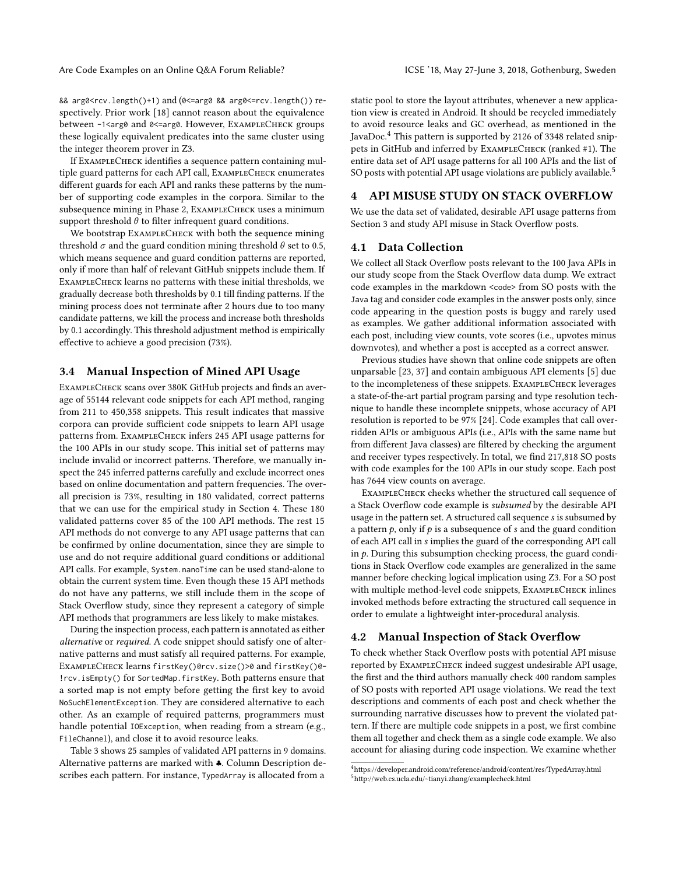&& arg0<rcv.length()+1) and (0<=arg0 && arg0<=rcv.length()) respectively. Prior work [\[18\]](#page-10-20) cannot reason about the equivalence between -1<arg0 and 0<=arg0. However, EXAMPLECHECK groups these logically equivalent predicates into the same cluster using the integer theorem prover in Z3.

If ExampleCheck identifies a sequence pattern containing multiple guard patterns for each API call, ExampleCheck enumerates different guards for each API and ranks these patterns by the number of supporting code examples in the corpora. Similar to the subsequence mining in Phase 2, EXAMPLECHECK uses a minimum support threshold  $\theta$  to filter infrequent guard conditions.

We bootstrap EXAMPLECHECK with both the sequence mining threshold  $\sigma$  and the guard condition mining threshold  $\theta$  set to 0.5, which means sequence and guard condition patterns are reported, only if more than half of relevant GitHub snippets include them. If ExampleCheck learns no patterns with these initial thresholds, we gradually decrease both thresholds by 0.1 till finding patterns. If the mining process does not terminate after 2 hours due to too many candidate patterns, we kill the process and increase both thresholds by 0.1 accordingly. This threshold adjustment method is empirically effective to achieve a good precision (73%).

#### 3.4 Manual Inspection of Mined API Usage

ExampleCheck scans over 380K GitHub projects and finds an average of 55144 relevant code snippets for each API method, ranging from 211 to 450,358 snippets. This result indicates that massive corpora can provide sufficient code snippets to learn API usage patterns from. ExampleCheck infers 245 API usage patterns for the 100 APIs in our study scope. This initial set of patterns may include invalid or incorrect patterns. Therefore, we manually inspect the 245 inferred patterns carefully and exclude incorrect ones based on online documentation and pattern frequencies. The overall precision is 73%, resulting in 180 validated, correct patterns that we can use for the empirical study in Section [4.](#page-4-0) These 180 validated patterns cover 85 of the 100 API methods. The rest 15 API methods do not converge to any API usage patterns that can be confirmed by online documentation, since they are simple to use and do not require additional guard conditions or additional API calls. For example, System.nanoTime can be used stand-alone to obtain the current system time. Even though these 15 API methods do not have any patterns, we still include them in the scope of Stack Overflow study, since they represent a category of simple API methods that programmers are less likely to make mistakes.

During the inspection process, each pattern is annotated as either alternative or required. A code snippet should satisfy one of alternative patterns and must satisfy all required patterns. For example, ExampleCheck learns firstKey()@rcv.size()>0 and firstKey()@- !rcv.isEmpty() for SortedMap.firstKey. Both patterns ensure that a sorted map is not empty before getting the first key to avoid NoSuchElementException. They are considered alternative to each other. As an example of required patterns, programmers must handle potential IOException, when reading from a stream (e.g., FileChannel), and close it to avoid resource leaks.

Table [3](#page-5-0) shows 25 samples of validated API patterns in 9 domains. Alternative patterns are marked with ♣. Column Description describes each pattern. For instance, TypedArray is allocated from a

static pool to store the layout attributes, whenever a new application view is created in Android. It should be recycled immediately to avoid resource leaks and GC overhead, as mentioned in the JavaDoc.[4](#page-4-1) This pattern is supported by 2126 of 3348 related snippets in GitHub and inferred by ExampleCheck (ranked #1). The entire data set of API usage patterns for all 100 APIs and the list of SO posts with potential API usage violations are publicly available.<sup>[5](#page-4-2)</sup>

#### <span id="page-4-0"></span>4 API MISUSE STUDY ON STACK OVERFLOW

We use the data set of validated, desirable API usage patterns from Section [3](#page-1-2) and study API misuse in Stack Overflow posts.

#### 4.1 Data Collection

We collect all Stack Overflow posts relevant to the 100 Java APIs in our study scope from the Stack Overflow data dump. We extract code examples in the markdown <code> from SO posts with the Java tag and consider code examples in the answer posts only, since code appearing in the question posts is buggy and rarely used as examples. We gather additional information associated with each post, including view counts, vote scores (i.e., upvotes minus downvotes), and whether a post is accepted as a correct answer.

Previous studies have shown that online code snippets are often unparsable [\[23,](#page-10-4) [37\]](#page-10-5) and contain ambiguous API elements [\[5\]](#page-10-21) due to the incompleteness of these snippets. ExampleCheck leverages a state-of-the-art partial program parsing and type resolution technique to handle these incomplete snippets, whose accuracy of API resolution is reported to be 97% [\[24\]](#page-10-22). Code examples that call overridden APIs or ambiguous APIs (i.e., APIs with the same name but from different Java classes) are filtered by checking the argument and receiver types respectively. In total, we find 217,818 SO posts with code examples for the 100 APIs in our study scope. Each post has 7644 view counts on average.

ExampleCheck checks whether the structured call sequence of a Stack Overflow code example is subsumed by the desirable API usage in the pattern set. A structured call sequence s is subsumed by a pattern  $p$ , only if  $p$  is a subsequence of  $s$  and the guard condition of each API call in s implies the guard of the corresponding API call in  $p$ . During this subsumption checking process, the guard conditions in Stack Overflow code examples are generalized in the same manner before checking logical implication using Z3. For a SO post with multiple method-level code snippets, EXAMPLECHECK inlines invoked methods before extracting the structured call sequence in order to emulate a lightweight inter-procedural analysis.

# <span id="page-4-3"></span>4.2 Manual Inspection of Stack Overflow

To check whether Stack Overflow posts with potential API misuse reported by ExampleCheck indeed suggest undesirable API usage, the first and the third authors manually check 400 random samples of SO posts with reported API usage violations. We read the text descriptions and comments of each post and check whether the surrounding narrative discusses how to prevent the violated pattern. If there are multiple code snippets in a post, we first combine them all together and check them as a single code example. We also account for aliasing during code inspection. We examine whether

<span id="page-4-2"></span><span id="page-4-1"></span> $^4$ <https://developer.android.com/reference/android/content/res/TypedArray.html> <sup>5</sup><http://web.cs.ucla.edu/~tianyi.zhang/examplecheck.html>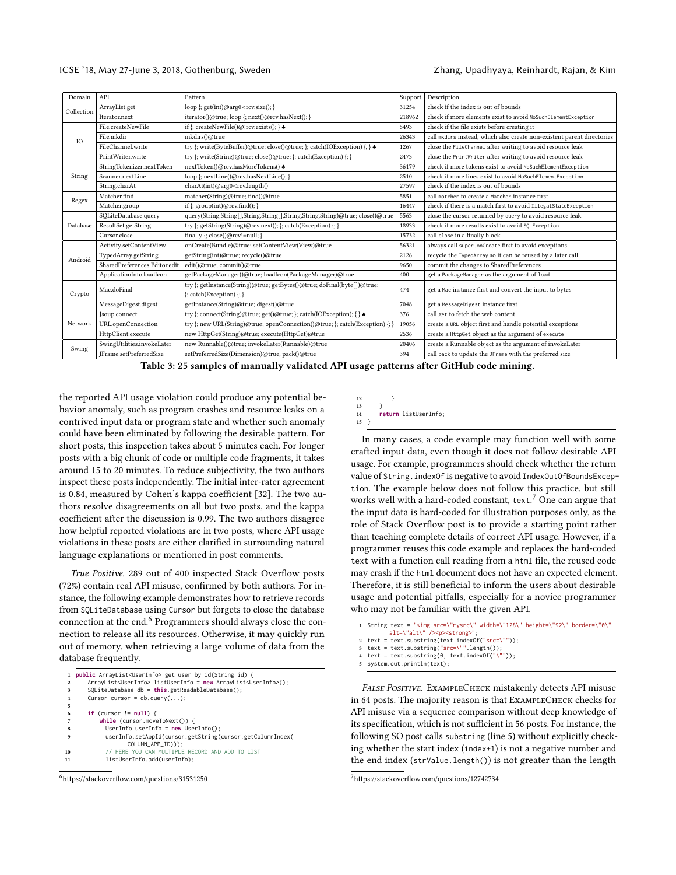#### ICSE '18, May 27-June 3, 2018, Gothenburg, Sweden Zhang, Zhang, Upadhyaya, Reinhardt, Rajan, & Kim

<span id="page-5-0"></span>

| Domain     | API                           | Pattern                                                                                                                   | Support | Description                                                            |
|------------|-------------------------------|---------------------------------------------------------------------------------------------------------------------------|---------|------------------------------------------------------------------------|
| Collection | ArrayList.get                 | $loop$ {; get(int)@arg0 <rcv.size(); td="" }<=""><td>31254</td><td>check if the index is out of bounds</td></rcv.size();> | 31254   | check if the index is out of bounds                                    |
|            | Iterator.next                 | iterator()@true; loop {; next()@rcv.hasNext(); }                                                                          | 218962  | check if more elements exist to avoid NoSuchElementException           |
| IO         | File.createNewFile            | if {; createNewFile()@!rcv.exists(); } ↓                                                                                  | 5493    | check if the file exists before creating it                            |
|            | File.mkdir                    | mkdirs()@true                                                                                                             | 26343   | call mkdirs instead, which also create non-existent parent directories |
|            | FileChannel.write             | try {; write(ByteBuffer)@true; close()@true; }; catch(IOException) {, } *                                                 | 1267    | close the FileChannel after writing to avoid resource leak             |
|            | PrintWriter.write             | try {; write(String)@true; close()@true; }; catch(Exception) {; }                                                         | 2473    | close the PrintWriter after writing to avoid resource leak             |
|            | StringTokenizer.nextToken     | nextToken()@rcv.hasMoreTokens() &                                                                                         | 36179   | check if more tokens exist to avoid NoSuchElementException             |
| String     | Scanner.nextLine              | loop {; nextLine()@rcv.hasNextLine(); }                                                                                   | 2510    | check if more lines exist to avoid NoSuchElementException              |
|            | String.charAt                 | charAt(int)@arg0 <rcv.length()< td=""><td>27597</td><td>check if the index is out of bounds</td></rcv.length()<>          | 27597   | check if the index is out of bounds                                    |
|            | Matcher.find                  | matcher(String)@true; find()@true                                                                                         | 5851    | call matcher to create a Matcher instance first                        |
| Regex      | Matcher.group                 | if $\{; group(int)@rev.find();\}$                                                                                         | 16447   | check if there is a match first to avoid IllegalStateException         |
|            | SQLiteDatabase.query          | query(String,String[],String,String[],String,String,String)@true; close()@true                                            | 5563    | close the cursor returned by query to avoid resource leak              |
| Database   | ResultSet.getString           | try {; getString(String)@rcv.next(); }; catch(Exception) {; }                                                             | 18933   | check if more results exist to avoid SQLException                      |
|            | Cursor.close                  | finally {; close()@rcv!=null; }                                                                                           | 15732   | call close in a finally block                                          |
|            | Activity.setContentView       | onCreate(Bundle)@true; setContentView(View)@true                                                                          | 56321   | always call super.onCreate first to avoid exceptions                   |
| Android    | TypedArray.getString          | getString(int)@true; recycle()@true                                                                                       | 2126    | recycle the TypedArray so it can be reused by a later call             |
|            | SharedPreferences.Editor.edit | edit()@true; commit()@true                                                                                                | 9650    | commit the changes to SharedPreferences                                |
|            | ApplicationInfo.loadIcon      | getPackageManager()@true; loadIcon(PackageManager)@true                                                                   | 400     | get a PackageManager as the argument of load                           |
| Crypto     | Mac.doFinal                   | try {; getInstance(String)@true; getBytes()@true; doFinal(byte[])@true;                                                   | 474     | get a Mac instance first and convert the input to bytes                |
|            |                               | $\}$ ; catch(Exception) $\{;\}$                                                                                           |         |                                                                        |
|            | MessageDigest.digest          | getInstance(String)@true; digest()@true                                                                                   | 7048    | get a MessageDigest instance first                                     |
| Network    | Jsoup.connect                 | try {; connect(String)@true; get()@true; }; catch(IOException); { } &                                                     | 376     | call get to fetch the web content                                      |
|            | URL.openConnection            | try {; new URL(String)@true; openConnection()@true; }; catch(Exception) {; }                                              | 19056   | create a URL object first and handle potential exceptions              |
|            | HttpClient.execute            | new HttpGet(String)@true; execute(HttpGet)@true                                                                           | 2536    | create a HttpGet object as the argument of execute                     |
| Swing      | SwingUtilities.invokeLater    | new Runnable()@true; invokeLater(Runnable)@true                                                                           | 20406   | create a Runnable object as the argument of invokeLater                |
|            | IFrame.setPreferredSize       | setPreferredSize(Dimension)@true, pack()@true                                                                             | 394     | call pack to update the JFrame with the preferred size                 |
|            |                               |                                                                                                                           |         |                                                                        |

Table 3: 25 samples of manually validated API usage patterns after GitHub code mining.

the reported API usage violation could produce any potential behavior anomaly, such as program crashes and resource leaks on a contrived input data or program state and whether such anomaly could have been eliminated by following the desirable pattern. For short posts, this inspection takes about 5 minutes each. For longer posts with a big chunk of code or multiple code fragments, it takes around 15 to 20 minutes. To reduce subjectivity, the two authors inspect these posts independently. The initial inter-rater agreement is 0.84, measured by Cohen's kappa coefficient [\[32\]](#page-10-23). The two authors resolve disagreements on all but two posts, and the kappa coefficient after the discussion is 0.99. The two authors disagree how helpful reported violations are in two posts, where API usage violations in these posts are either clarified in surrounding natural language explanations or mentioned in post comments.

True Positive. 289 out of 400 inspected Stack Overflow posts (72%) contain real API misuse, confirmed by both authors. For instance, the following example demonstrates how to retrieve records from SQLiteDatabase using Cursor but forgets to close the database connection at the end.[6](#page-5-1) Programmers should always close the connection to release all its resources. Otherwise, it may quickly run out of memory, when retrieving a large volume of data from the database frequently.

| 1.<br>$\mathbf{2}$ | public ArrayList <userinfo> get_user_by_id(String id) {<br/>ArrayList<userinfo> listUserInfo = new ArrayList<userinfo>();</userinfo></userinfo></userinfo> |
|--------------------|------------------------------------------------------------------------------------------------------------------------------------------------------------|
|                    |                                                                                                                                                            |
| 3                  | $SOLiteDatabase db = this.getReadableDatabase();$                                                                                                          |
| $\overline{4}$     | Cursor cursor = $db.query();$                                                                                                                              |
| 5                  |                                                                                                                                                            |
| 6                  | if (cursor $!=$ null) {                                                                                                                                    |
| 7                  | $while$ (cursor.moveToNext()) {                                                                                                                            |
| 8                  | UserInfo userInfo = $new$ UserInfo();                                                                                                                      |
| 9                  | userInfo.setAppId(cursor.getString(cursor.getColumnIndex(<br>COLUMN_APP_ID)));                                                                             |
| 10                 | HERE YOU CAN MULTIPLE RECORD AND ADD TO LIST                                                                                                               |
| 11                 | listUserInfo.add(userInfo);                                                                                                                                |
|                    |                                                                                                                                                            |

<span id="page-5-1"></span><sup>6</sup><https://stackoverflow.com/questions/31531250>

 $12 \qquad \qquad$ 13 } return listUserInfo;

15 }

In many cases, a code example may function well with some crafted input data, even though it does not follow desirable API usage. For example, programmers should check whether the return value of String.indexOf is negative to avoid IndexOutOfBoundsException. The example below does not follow this practice, but still works well with a hard-coded constant, text. [7](#page-5-2) One can argue that the input data is hard-coded for illustration purposes only, as the role of Stack Overflow post is to provide a starting point rather than teaching complete details of correct API usage. However, if a programmer reuses this code example and replaces the hard-coded text with a function call reading from a html file, the reused code may crash if the html document does not have an expected element. Therefore, it is still beneficial to inform the users about desirable usage and potential pitfalls, especially for a novice programmer who may not be familiar with the given API.

- 1 String text = "<img src=\"mysrc\" width=\"128\" height=\"92\" border=\"0\"
- alt=\"alt\" /><p><strong>";<br>2 text = text.substring(text.indexOf("src=\""));
- 3 text = text.substring("src=\"".length()); 4 text = text.substring(0, text.indexOf("\""));
- 
- 5 System.out.println(text);

FALSE POSITIVE. EXAMPLECHECK mistakenly detects API misuse in 64 posts. The majority reason is that ExampleCheck checks for API misuse via a sequence comparison without deep knowledge of its specification, which is not sufficient in 56 posts. For instance, the following SO post calls substring (line 5) without explicitly checking whether the start index (index+1) is not a negative number and the end index (strValue.length()) is not greater than the length

<span id="page-5-2"></span><sup>7</sup><https://stackoverflow.com/questions/12742734>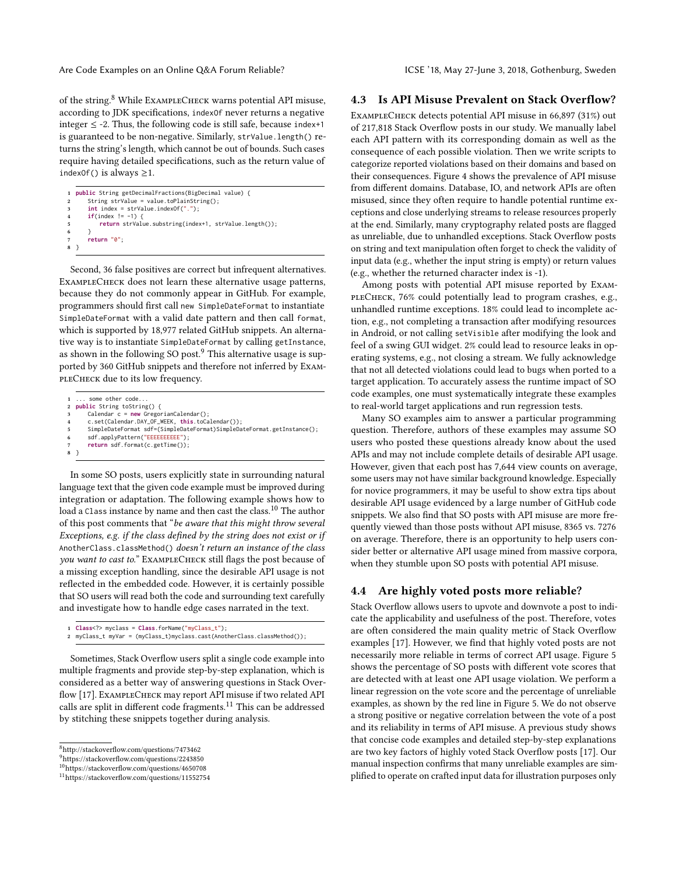of the string.<sup>[8](#page-6-0)</sup> While ExAMPLECHECK warns potential API misuse, according to JDK specifications, indexOf never returns a negative integer  $\leq$  -2. Thus, the following code is still safe, because index+1 is guaranteed to be non-negative. Similarly, strValue.length() returns the string's length, which cannot be out of bounds. Such cases require having detailed specifications, such as the return value of index $0f()$  is always  $\geq 1$ .

```
1 public String getDecimalFractions(BigDecimal value) {
      String strValue = value.toPlainString();
      int index = strValue/indexOf('".");
      if(intex != -1)return strValue.substring(index+1, strValue.length());
6 }
      return "0";
8 }
```
Second, 36 false positives are correct but infrequent alternatives. ExampleCheck does not learn these alternative usage patterns, because they do not commonly appear in GitHub. For example, programmers should first call new SimpleDateFormat to instantiate SimpleDateFormat with a valid date pattern and then call format, which is supported by 18,977 related GitHub snippets. An alternative way is to instantiate SimpleDateFormat by calling getInstance, as shown in the following SO post. $9$  This alternative usage is supported by 360 GitHub snippets and therefore not inferred by Exam-PLECHECK due to its low frequency.

|                | $1 \ldots$ some other code                                             |
|----------------|------------------------------------------------------------------------|
|                | 2 <b>public</b> String to String() $\{$                                |
| 3              | Calendar $c = new GregorianCalendar()$ ;                               |
| $\overline{4}$ | c.set(Calendar.DAY_OF_WEEK, this.toCalendar());                        |
| 5              | SimpleDateFormat sdf=(SimpleDateFormat)SimpleDateFormat.getInstance(); |
| 6              | sdf.applyPattern("EEEEEEEEEE");                                        |
| $\overline{7}$ | $return sdf.format(c.getTime())$ ;                                     |
|                | 8 }                                                                    |
|                |                                                                        |

In some SO posts, users explicitly state in surrounding natural language text that the given code example must be improved during integration or adaptation. The following example shows how to load a Class instance by name and then cast the class.<sup>[10](#page-6-2)</sup> The author of this post comments that "be aware that this might throw several Exceptions, e.g. if the class defined by the string does not exist or if AnotherClass.classMethod() doesn't return an instance of the class you want to cast to." ExampleCheck still flags the post because of a missing exception handling, since the desirable API usage is not reflected in the embedded code. However, it is certainly possible that SO users will read both the code and surrounding text carefully and investigate how to handle edge cases narrated in the text.

```
1 Class<?> myclass = Class.forName("myClass_t");
  myClass_t myVar = (myClass_t)myclass.cast(AnotherClass.classMethod());
```
Sometimes, Stack Overflow users split a single code example into multiple fragments and provide step-by-step explanation, which is considered as a better way of answering questions in Stack Overflow [\[17\]](#page-10-24). ExampleCheck may report API misuse if two related API calls are split in different code fragments. $11$  This can be addressed by stitching these snippets together during analysis.

# 4.3 Is API Misuse Prevalent on Stack Overflow?

ExampleCheck detects potential API misuse in 66,897 (31%) out of 217,818 Stack Overflow posts in our study. We manually label each API pattern with its corresponding domain as well as the consequence of each possible violation. Then we write scripts to categorize reported violations based on their domains and based on their consequences. Figure [4](#page-7-0) shows the prevalence of API misuse from different domains. Database, IO, and network APIs are often misused, since they often require to handle potential runtime exceptions and close underlying streams to release resources properly at the end. Similarly, many cryptography related posts are flagged as unreliable, due to unhandled exceptions. Stack Overflow posts on string and text manipulation often forget to check the validity of input data (e.g., whether the input string is empty) or return values (e.g., whether the returned character index is -1).

Among posts with potential API misuse reported by ExampleCheck, 76% could potentially lead to program crashes, e.g., unhandled runtime exceptions. 18% could lead to incomplete action, e.g., not completing a transaction after modifying resources in Android, or not calling setVisible after modifying the look and feel of a swing GUI widget. 2% could lead to resource leaks in operating systems, e.g., not closing a stream. We fully acknowledge that not all detected violations could lead to bugs when ported to a target application. To accurately assess the runtime impact of SO code examples, one must systematically integrate these examples to real-world target applications and run regression tests.

Many SO examples aim to answer a particular programming question. Therefore, authors of these examples may assume SO users who posted these questions already know about the used APIs and may not include complete details of desirable API usage. However, given that each post has 7,644 view counts on average, some users may not have similar background knowledge. Especially for novice programmers, it may be useful to show extra tips about desirable API usage evidenced by a large number of GitHub code snippets. We also find that SO posts with API misuse are more frequently viewed than those posts without API misuse, 8365 vs. 7276 on average. Therefore, there is an opportunity to help users consider better or alternative API usage mined from massive corpora, when they stumble upon SO posts with potential API misuse.

#### 4.4 Are highly voted posts more reliable?

Stack Overflow allows users to upvote and downvote a post to indicate the applicability and usefulness of the post. Therefore, votes are often considered the main quality metric of Stack Overflow examples [\[17\]](#page-10-24). However, we find that highly voted posts are not necessarily more reliable in terms of correct API usage. Figure [5](#page-7-1) shows the percentage of SO posts with different vote scores that are detected with at least one API usage violation. We perform a linear regression on the vote score and the percentage of unreliable examples, as shown by the red line in Figure [5.](#page-7-1) We do not observe a strong positive or negative correlation between the vote of a post and its reliability in terms of API misuse. A previous study shows that concise code examples and detailed step-by-step explanations are two key factors of highly voted Stack Overflow posts [\[17\]](#page-10-24). Our manual inspection confirms that many unreliable examples are simplified to operate on crafted input data for illustration purposes only

<span id="page-6-0"></span><sup>8</sup><http://stackoverflow.com/questions/7473462>

<span id="page-6-1"></span><sup>9</sup><https://stackoverflow.com/questions/2243850>

<span id="page-6-2"></span><sup>10</sup><https://stackoverflow.com/questions/4650708>

<span id="page-6-3"></span><sup>11</sup><https://stackoverflow.com/questions/11552754>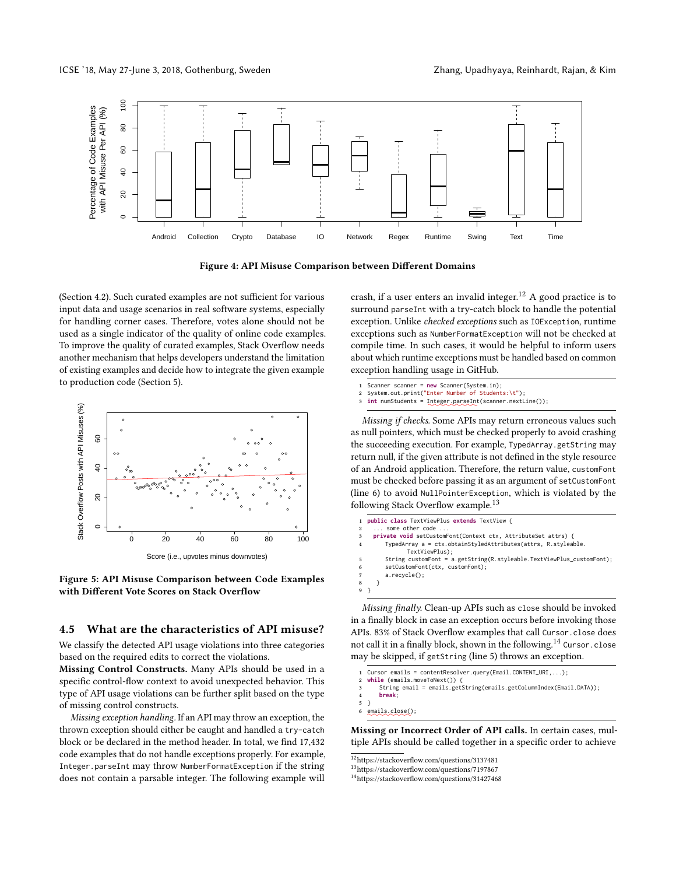ICSE '18, May 27-June 3, 2018, Gothenburg, Sweden Zhang, Zhang, Upadhyaya, Reinhardt, Rajan, & Kim

<span id="page-7-0"></span>

Figure 4: API Misuse Comparison between Different Domains

(Section [4.2\)](#page-4-3). Such curated examples are not sufficient for various input data and usage scenarios in real software systems, especially for handling corner cases. Therefore, votes alone should not be used as a single indicator of the quality of online code examples. To improve the quality of curated examples, Stack Overflow needs another mechanism that helps developers understand the limitation of existing examples and decide how to integrate the given example to production code (Section [5\)](#page-8-0).

<span id="page-7-1"></span>

Figure 5: API Misuse Comparison between Code Examples with Different Vote Scores on Stack Overflow

#### 4.5 What are the characteristics of API misuse?

We classify the detected API usage violations into three categories based on the required edits to correct the violations.

Missing Control Constructs. Many APIs should be used in a specific control-flow context to avoid unexpected behavior. This type of API usage violations can be further split based on the type of missing control constructs.

Missing exception handling. If an API may throw an exception, the thrown exception should either be caught and handled a try-catch block or be declared in the method header. In total, we find 17,432 code examples that do not handle exceptions properly. For example, Integer.parseInt may throw NumberFormatException if the string does not contain a parsable integer. The following example will

crash, if a user enters an invalid integer.<sup>[12](#page-7-2)</sup> A good practice is to surround parseInt with a try-catch block to handle the potential exception. Unlike checked exceptions such as IOException, runtime exceptions such as NumberFormatException will not be checked at compile time. In such cases, it would be helpful to inform users about which runtime exceptions must be handled based on common exception handling usage in GitHub.

- Scanner scanner = new Scanner(System.in);
- 2 System.out.print("Enter Number of Students:\t");<br>3 int numStudents = Integer.parseInt(scanner.nextLine());<br>}
- 

Missing if checks. Some APIs may return erroneous values such as null pointers, which must be checked properly to avoid crashing the succeeding execution. For example, TypedArray.getString may return null, if the given attribute is not defined in the style resource of an Android application. Therefore, the return value, customFont must be checked before passing it as an argument of setCustomFont (line 6) to avoid NullPointerException, which is violated by the following Stack Overflow example.[13](#page-7-3)

```
public class TextViewPlus extends TextView {
        some other code ...
    private void setCustomFont(Context ctx, AttributeSet attrs) {
        TypedArray a = ctx.obtainStyledAttributes(attrs, R.styleable.
              TextViewPlus);
        5 String customFont = a.getString(R.styleable.TextViewPlus_customFont);
        setCustomFont(ctx, customFont);
        a.recycle():
     }
9 }
```
Missing finally. Clean-up APIs such as close should be invoked in a finally block in case an exception occurs before invoking those APIs. 83% of Stack Overflow examples that call Cursor.close does not call it in a finally block, shown in the following.[14](#page-7-4) Cursor.close may be skipped, if getString (line 5) throws an exception.

```
Cursor emails = contentResolver.query(Email.CONTENT_URI,...);
  while (emails.moveToNext()) {
     3 String email = emails.getString(emails.getColumnIndex(Email.DATA));
     break:
5 }
6 emails.close();
```
Missing or Incorrect Order of API calls. In certain cases, multiple APIs should be called together in a specific order to achieve

<span id="page-7-3"></span><span id="page-7-2"></span> $\overline{^{12}}$ <https://stackoverflow.com/questions/3137481>

<sup>13</sup><https://stackoverflow.com/questions/7197867>

<span id="page-7-4"></span><sup>14</sup><https://stackoverflow.com/questions/31427468>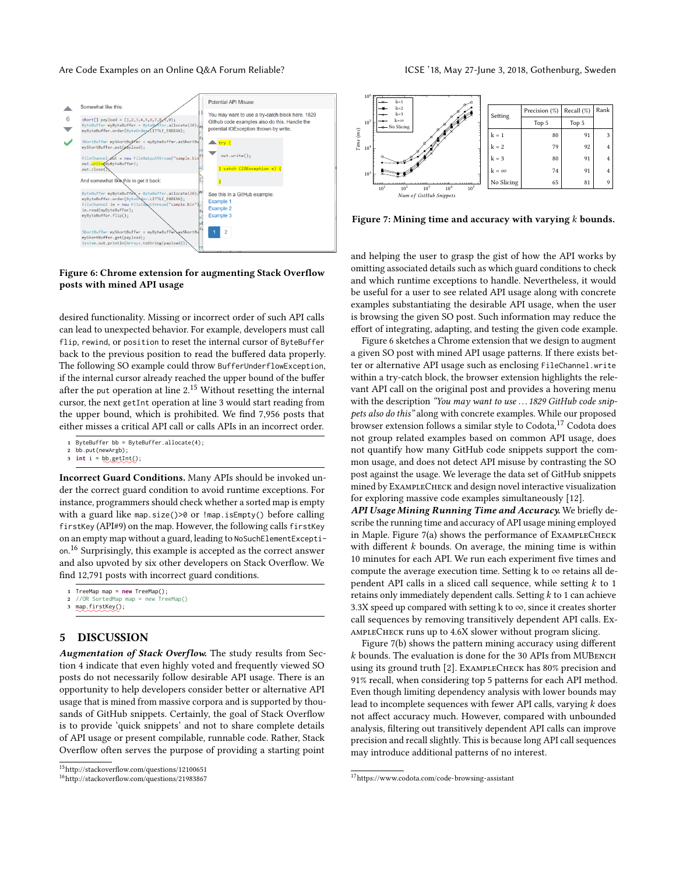<span id="page-8-3"></span>

#### Figure 6: Chrome extension for augmenting Stack Overflow posts with mined API usage

desired functionality. Missing or incorrect order of such API calls can lead to unexpected behavior. For example, developers must call flip, rewind, or position to reset the internal cursor of ByteBuffer back to the previous position to read the buffered data properly. The following SO example could throw BufferUnderflowException, if the internal cursor already reached the upper bound of the buffer after the put operation at line  $2^{15}$  $2^{15}$  $2^{15}$  Without resetting the internal cursor, the next getInt operation at line 3 would start reading from the upper bound, which is prohibited. We find 7,956 posts that either misses a critical API call or calls APIs in an incorrect order.

- ByteBuffer bb = ByteBuffer.allocate(4); 2 bb.put(newArgb);
- 3 int i =  $bb.getInt()$ ;

Incorrect Guard Conditions. Many APIs should be invoked under the correct guard condition to avoid runtime exceptions. For instance, programmers should check whether a sorted map is empty with a guard like map.size()>0 or !map.isEmpty() before calling firstKey (API#9) on the map. However, the following calls firstKey on an empty map without a guard, leading to NoSuchElementException. [16](#page-8-2) Surprisingly, this example is accepted as the correct answer and also upvoted by six other developers on Stack Overflow. We find 12,791 posts with incorrect guard conditions.

- 
- 1 TreeMap map = new TreeMap();<br>2 //OR SortedMap map = new TreeMap() 2 //OR SortedMap map
- 3 map.firstKey();

# <span id="page-8-0"></span>5 DISCUSSION

Augmentation of Stack Overflow. The study results from Section [4](#page-4-0) indicate that even highly voted and frequently viewed SO posts do not necessarily follow desirable API usage. There is an opportunity to help developers consider better or alternative API usage that is mined from massive corpora and is supported by thousands of GitHub snippets. Certainly, the goal of Stack Overflow is to provide 'quick snippets' and not to share complete details of API usage or present compilable, runnable code. Rather, Stack Overflow often serves the purpose of providing a starting point

<span id="page-8-5"></span>

Figure 7: Mining time and accuracy with varying  $k$  bounds.

and helping the user to grasp the gist of how the API works by omitting associated details such as which guard conditions to check and which runtime exceptions to handle. Nevertheless, it would be useful for a user to see related API usage along with concrete examples substantiating the desirable API usage, when the user is browsing the given SO post. Such information may reduce the effort of integrating, adapting, and testing the given code example.

Figure [6](#page-8-3) sketches a Chrome extension that we design to augment a given SO post with mined API usage patterns. If there exists better or alternative API usage such as enclosing FileChannel.write within a try-catch block, the browser extension highlights the relevant API call on the original post and provides a hovering menu with the description "You may want to use ... 1829 GitHub code snippets also do this" along with concrete examples. While our proposed browser extension follows a similar style to Codota,<sup>[17](#page-8-4)</sup> Codota does not group related examples based on common API usage, does not quantify how many GitHub code snippets support the common usage, and does not detect API misuse by contrasting the SO post against the usage. We leverage the data set of GitHub snippets mined by ExampleCheck and design novel interactive visualization for exploring massive code examples simultaneously [\[12\]](#page-10-25).

API Usage Mining Running Time and Accuracy. We briefly describe the running time and accuracy of API usage mining employed in Maple. Figure [7\(](#page-8-5)a) shows the performance of ExampleCheck with different  $k$  bounds. On average, the mining time is within 10 minutes for each API. We run each experiment five times and compute the average execution time. Setting  $k$  to  $\infty$  retains all dependent API calls in a sliced call sequence, while setting  $k$  to 1 retains only immediately dependent calls. Setting  $k$  to 1 can achieve 3.3X speed up compared with setting k to  $\infty$ , since it creates shorter call sequences by removing transitively dependent API calls. ExampleCheck runs up to 4.6X slower without program slicing.

Figure [7\(](#page-8-5)b) shows the pattern mining accuracy using different k bounds. The evaluation is done for the 30 APIs from MUBench using its ground truth [\[2\]](#page-10-11). EXAMPLECHECK has 80% precision and 91% recall, when considering top 5 patterns for each API method. Even though limiting dependency analysis with lower bounds may lead to incomplete sequences with fewer API calls, varying  $k$  does not affect accuracy much. However, compared with unbounded analysis, filtering out transitively dependent API calls can improve precision and recall slightly. This is because long API call sequences may introduce additional patterns of no interest.

<span id="page-8-1"></span> $^{15}\mathrm{http://stackoverflow.com/questions/12100651}$  $^{15}\mathrm{http://stackoverflow.com/questions/12100651}$  $^{15}\mathrm{http://stackoverflow.com/questions/12100651}$ 

<span id="page-8-2"></span><sup>16</sup><http://stackoverflow.com/questions/21983867>

<span id="page-8-4"></span> $^{17}{\rm https://www.codota.com/code-browsing-assistant}$  $^{17}{\rm https://www.codota.com/code-browsing-assistant}$  $^{17}{\rm https://www.codota.com/code-browsing-assistant}$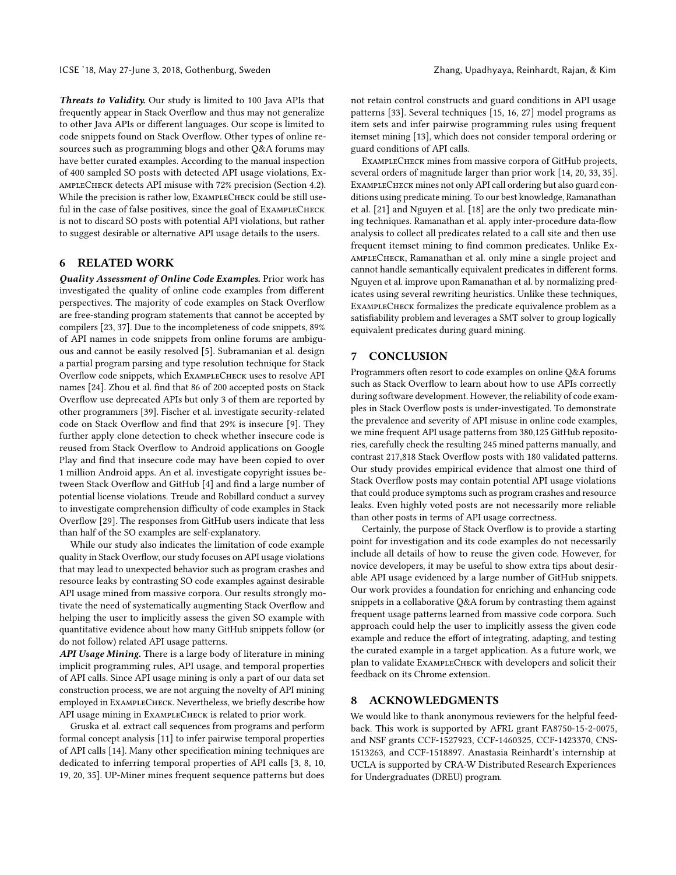Threats to Validity. Our study is limited to 100 Java APIs that frequently appear in Stack Overflow and thus may not generalize to other Java APIs or different languages. Our scope is limited to code snippets found on Stack Overflow. Other types of online resources such as programming blogs and other Q&A forums may have better curated examples. According to the manual inspection of 400 sampled SO posts with detected API usage violations, ExampleCheck detects API misuse with 72% precision (Section [4.2\)](#page-4-3). While the precision is rather low, EXAMPLECHECK could be still useful in the case of false positives, since the goal of EXAMPLECHECK is not to discard SO posts with potential API violations, but rather to suggest desirable or alternative API usage details to the users.

### 6 RELATED WORK

Quality Assessment of Online Code Examples. Prior work has investigated the quality of online code examples from different perspectives. The majority of code examples on Stack Overflow are free-standing program statements that cannot be accepted by compilers [\[23,](#page-10-4) [37\]](#page-10-5). Due to the incompleteness of code snippets, 89% of API names in code snippets from online forums are ambiguous and cannot be easily resolved [\[5\]](#page-10-21). Subramanian et al. design a partial program parsing and type resolution technique for Stack Overflow code snippets, which ExampleCheck uses to resolve API names [\[24\]](#page-10-22). Zhou et al. find that 86 of 200 accepted posts on Stack Overflow use deprecated APIs but only 3 of them are reported by other programmers [\[39\]](#page-10-6). Fischer et al. investigate security-related code on Stack Overflow and find that 29% is insecure [\[9\]](#page-10-3). They further apply clone detection to check whether insecure code is reused from Stack Overflow to Android applications on Google Play and find that insecure code may have been copied to over 1 million Android apps. An et al. investigate copyright issues between Stack Overflow and GitHub [\[4\]](#page-10-26) and find a large number of potential license violations. Treude and Robillard conduct a survey to investigate comprehension difficulty of code examples in Stack Overflow [\[29\]](#page-10-7). The responses from GitHub users indicate that less than half of the SO examples are self-explanatory.

While our study also indicates the limitation of code example quality in Stack Overflow, our study focuses on API usage violations that may lead to unexpected behavior such as program crashes and resource leaks by contrasting SO code examples against desirable API usage mined from massive corpora. Our results strongly motivate the need of systematically augmenting Stack Overflow and helping the user to implicitly assess the given SO example with quantitative evidence about how many GitHub snippets follow (or do not follow) related API usage patterns.

API Usage Mining. There is a large body of literature in mining implicit programming rules, API usage, and temporal properties of API calls. Since API usage mining is only a part of our data set construction process, we are not arguing the novelty of API mining employed in EXAMPLECHECK. Nevertheless, we briefly describe how API usage mining in ExampleCheck is related to prior work.

Gruska et al. extract call sequences from programs and perform formal concept analysis [\[11\]](#page-10-27) to infer pairwise temporal properties of API calls [\[14\]](#page-10-28). Many other specification mining techniques are dedicated to inferring temporal properties of API calls [\[3,](#page-10-29) [8,](#page-10-30) [10,](#page-10-31) [19,](#page-10-32) [20,](#page-10-33) [35\]](#page-10-34). UP-Miner mines frequent sequence patterns but does

not retain control constructs and guard conditions in API usage patterns [\[33\]](#page-10-18). Several techniques [\[15,](#page-10-35) [16,](#page-10-36) [27\]](#page-10-37) model programs as item sets and infer pairwise programming rules using frequent itemset mining [\[13\]](#page-10-38), which does not consider temporal ordering or guard conditions of API calls.

ExampleCheck mines from massive corpora of GitHub projects, several orders of magnitude larger than prior work [\[14,](#page-10-28) [20,](#page-10-33) [33,](#page-10-18) [35\]](#page-10-34). ExampleCheck mines not only API call ordering but also guard conditions using predicate mining. To our best knowledge, Ramanathan et al. [\[21\]](#page-10-39) and Nguyen et al. [\[18\]](#page-10-20) are the only two predicate mining techniques. Ramanathan et al. apply inter-procedure data-flow analysis to collect all predicates related to a call site and then use frequent itemset mining to find common predicates. Unlike ExampleCheck, Ramanathan et al. only mine a single project and cannot handle semantically equivalent predicates in different forms. Nguyen et al. improve upon Ramanathan et al. by normalizing predicates using several rewriting heuristics. Unlike these techniques, ExampleCheck formalizes the predicate equivalence problem as a satisfiability problem and leverages a SMT solver to group logically equivalent predicates during guard mining.

#### 7 CONCLUSION

Programmers often resort to code examples on online Q&A forums such as Stack Overflow to learn about how to use APIs correctly during software development. However, the reliability of code examples in Stack Overflow posts is under-investigated. To demonstrate the prevalence and severity of API misuse in online code examples, we mine frequent API usage patterns from 380,125 GitHub repositories, carefully check the resulting 245 mined patterns manually, and contrast 217,818 Stack Overflow posts with 180 validated patterns. Our study provides empirical evidence that almost one third of Stack Overflow posts may contain potential API usage violations that could produce symptoms such as program crashes and resource leaks. Even highly voted posts are not necessarily more reliable than other posts in terms of API usage correctness.

Certainly, the purpose of Stack Overflow is to provide a starting point for investigation and its code examples do not necessarily include all details of how to reuse the given code. However, for novice developers, it may be useful to show extra tips about desirable API usage evidenced by a large number of GitHub snippets. Our work provides a foundation for enriching and enhancing code snippets in a collaborative Q&A forum by contrasting them against frequent usage patterns learned from massive code corpora. Such approach could help the user to implicitly assess the given code example and reduce the effort of integrating, adapting, and testing the curated example in a target application. As a future work, we plan to validate ExampleCheck with developers and solicit their feedback on its Chrome extension.

## 8 ACKNOWLEDGMENTS

We would like to thank anonymous reviewers for the helpful feedback. This work is supported by AFRL grant FA8750-15-2-0075, and NSF grants CCF-1527923, CCF-1460325, CCF-1423370, CNS-1513263, and CCF-1518897. Anastasia Reinhardt's internship at UCLA is supported by CRA-W Distributed Research Experiences for Undergraduates (DREU) program.